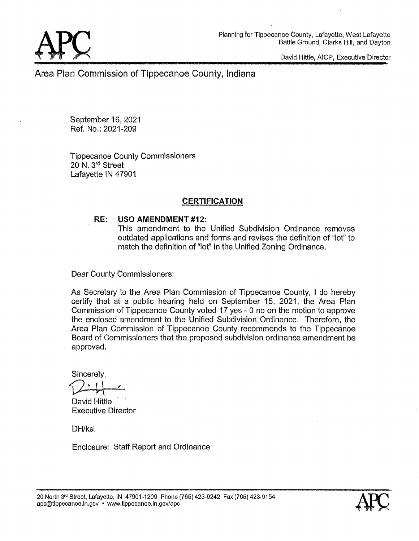David **Hittle, AICP,** Executive Director

Area Plan **Commission** of Tippecanoe County, Indiana.

September 16, 2021 Ref. **No.:** 2021-209

Tippecanoe **County** Commissioners 20 N. 3rd Street **Lafayette** IN 47901

## **CERTIFICATION**

### *\_* RE: USO AMENDMENT **#12:**

This amendment to the Unified Subdivision Ordinance removes outdated applications and forms and revises the definition of **"lot"** to **match** the definition of "lot" in the **Unified** Zoning Ordinanca.

Dear County **Commissioners:** 

As Secretary to the Area Plan **Commission** of Tippecanoe County, **I** do hereby **certify that** at a public hearing held on September 15, **2021,** the Area Plan Commiasion of Tippecanoe County voted 17 yes *-* 0 no on the motion to approve the enclosed amendment to the Unified **Subdivision** Ordinance. Therefore, the Area Plan **Commission** of Tippecanoe County recommends to the Tippecanoe Board of **Commissioners** that the proposed **\$ubdivision ordinance** amendment be approvad.

Sincerely,

*" 1*  **David Hittle** 

Executive Director

DH/ksl

Enclosure: Staff Report and Ordinance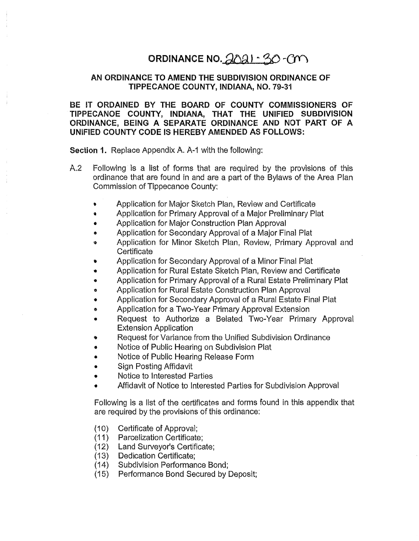# ORDINANCE NO. 2021 - 30-CM

### AN ORDINANCE TO AMEND THE SUBDIVISION ORDINANCE OF TIPPECANOE **COUNTY, lNDIANA, NO.** 79-31

# BE IT ORDAINED BY THE BGARD OF **COUNTY** COMMISSIONERS OF **TIPPECANOE COUNTY, INDIANA,** THAT THE UNIFIED **SUBDIVISION**  ORDINANCE, BEING A SEPARATE ORDINANCE AND NOT PART OF **A**  UNIFIED COUNTY **CODE** IS HEREBY AMENDED AS FOLLOWS: **COMMISSION COMMISSION CONSERVIES THE STIPPECANOE COUNTY, IT<br>COMMISSION BY THE BOARD OF CANOE COUNTY, INDIANA, THANCE, BEING A SEPARATE OF<br>ED COUNTY CODE IS HEREBY AM<br>DIN 1. Replace Appendix A. A-1 with the Following is a**

**Section** 1. Replace Appendix A. A~1 with the following:

- A.2 Following is a list of forms that are required by the provisions of this ordinance that are found in and are a part of the Bylaws of the Area Plan, Commission of Tippecanoe County;
	- Application for Majcr Sketch Plan, Review and Certificate
	- Application for Primary Approval of a Major Preliminary Plat
	- Application for Major Construction Plan Approval
	- Application for Secondary Approval of **a** Major Final Plat
	- Application for Minor 8ketch Plan. Review, **Primary** Approval and **Certificate**
	- Application for Secondary Approval of a Minor Final Plat
	- Application for Rural Estate Sketch **Plan,** Review and Certificate
	- Application for Primary Approval of a Rural Estate Preliminary Plat
	- Application for Rural Estate **Construction** Plan Approval  $\bullet$
	- Application for Secondary Approval of a Rural Estate Final Plat
	- Application for a Two-Year Primary Approval Extension
	- Request to Authorize a Belated Two-Year Primary Approval Extension Application
	- Request for Variance from the Unified Subdivision Ordinance
	- Notice of **Public** Hearing on Subdivision Plat
	- **Notice** of **Public** Hearing Release Form
	- Sign Posting Affidavit  $\bullet$
	- Notice to **Interested** Parties
	- Affidavit of Notice to lntereated Parties for Subdivision Approval,

Following is **a** list of the certificates and forms found in this appendix that are required by the provisions of this ordinance:

- Certificate of Approval;
- (10) C<br>(11) F<br>(12) L<br>(13) C<br>(15) F Parcelization **Certificate;**
- Land Surveyor's Certificate;
- Dedication Certificate;
- Subdivision Performance Bond;
- Performance Bond Secured by Deposit;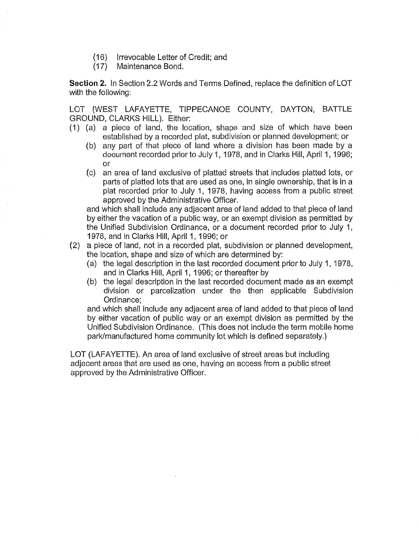- (16) lrrevocable Letter of Credit; and.
- (17) Maintenance Bond.

Section 2. In Section 2.2 Words and Terms Defined, replace the definition of LOT with the following:

LOT (WEST LAFAYETTE, TIPPECANOE COUNTY, DAYTON, BATTLE **GROUND,** CLARKS HILL). Either:

- (1) (a) a piece of land, the location, shape and size of which have been established by a recorded plat, subdivision or planned development; or'
	- (b) any part of that piece of land where a division has been made by *a*  document recorded prior to **July** 1, 1978, and in Clarke Hill, April 1, 1996; or
	- (c) an area of land exclusive of platted streets **that** includea platted lots, or parts of platted lots that are used as **one,** in single ownership, that is in a plat recorded prior to **July** 1, 1978, having access, from a public street approved by the Administrative Officer.

and which shall include any adjacent area of land added to that piece of land by either the vacation of a public way, or an exempt division as permitted by the Unified Subdivision **Ordinance,** or a document recorded prior to **July** 1, 1978, and in Clarke Hill, April 1, 1996; or

- (2) a piece of land, not in a recorded plat, subdivision or planned development, the location, shape and size of which are determined by:
	- (a) the legal description in the last recorded document prior to **July** 1, 1978, and in Clarks **Hill,** April 1, 1996; or thereafter by
	- (b) the legal deacription in the last recorded document made as an exempt division or parcelization under the then applicable Subdivision Ordinance;

and which shall include any adjacent area of land added to that piece of land by either vacation of public way or an exempt division as permitted by the Unified Subdivision Ordinance. (This does not **include** the term mobile home park/manufactured home community lot which is defined separately.)

LOT (LAFAYETTE). An area of land exclusive of street areas but including adjacent areas that are used as one, having an access from *a* public street approved by the Administrative Officer.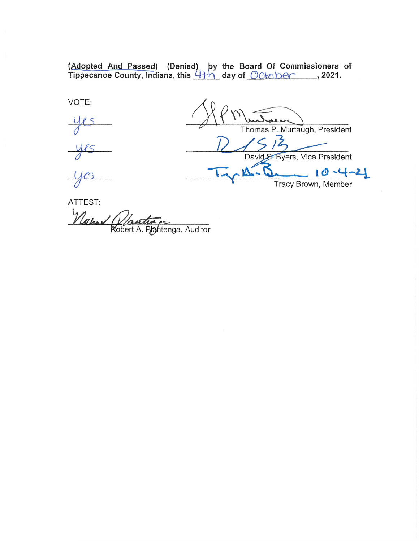**(Adogted Ang Passed) (Denied) ythé Board Of Commissioners of Tippecanoe County, Indiana, this '4 yday of Qg'gtgmfi** , **2021.** 

VOTE:

Thomas P. Murtaugh, President David S. Byers, Vice President  $-10 - 4 - 21$ *'* Tracy Brown, Member

ATTEST:

Wallach *Nostin es*<br>Robert A. Prentinga, Auditor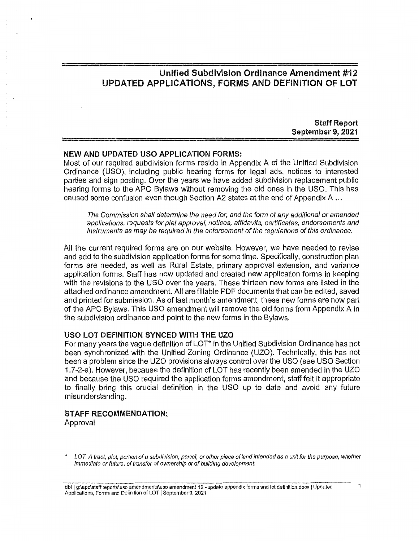# **Unified Subdivision** Ordinance **Amendment** #12 UPDATED **APPLICATIONS,** FORMS AND **DEFINITION** OF LOT

**Staff Report September** 9, 2021

### NEW AND UPDATED USO **APPLICATION** FORMS:

**Most** of our required subdivision forms reside In Appendix A of the Unified **Subdivision**  Ordinance (USO), **including** public hearing ferms for legal ads. **notices** to **interested**  parties and sign posting. Over the years we have added subdivision replacement public hearing forms to the APC Bylaws without removing the old ones in the USO. This has caused *some* confusion even though **Section** A2 states at the end of Appendix A

The *Commission shall determine* the *need for,* and the *form* of any *additional* or *amended applications, requests for plat approval, notices, affidavits, certificates, endorsements* and *Instruments* as may be *required* In the *enforcement* of the *regulations* of *this ordinance.* 

All the current required forms are on our **website. However,** we have needed to revise and add to the subdivision application **forms** for some time. Specifically, construction plan forms are needed, as well as Rural Estate, primary approval extension. and variance application forms. Staff has new updated and created new **application** forms in keeping with the revisions to the USO over the years. **These** thirteen new forms are listed in the **attached** ordinance amendment. All are fillable PDF **documents** that can be edited, saved and printed for submission. As of **last** month's amendment, these new forms are now part of the APC Bylaws. This USO amendment **will** remove the old forms from Appendix A in the subdivision ordinance and point to the new forms in the ByIaws.

### USO LOT DEFINITION SYNCED **WITH** THE UZO

For many years the vague definition of LOT" in the Unified Subdivision Ordinance has not been synchronized with the Unified Zoning Ordinance (UZO). Technically, **this** has not been a problem since the U20 provisions always control ovar the USO (see USO Section 1.7-2-a). However, because the definition of LOT has recently been amended in the U20 and because the USO required. the **application** forms amendment. staff **felt** it appropriate to **finally** bring this crucial definition in the USO up to **date** and avoid any future misunderstanding.

### STAFF RECOMMENDATION:

Approval

<sup>\*</sup> *LOT. A tract, plot, portion* of *a subdivision, parcel,* or *other piece* of *land intended* as *a unit* for the *purpose, whether Immediate* or *future,* of *transfer* of *ownership* or of *building development.*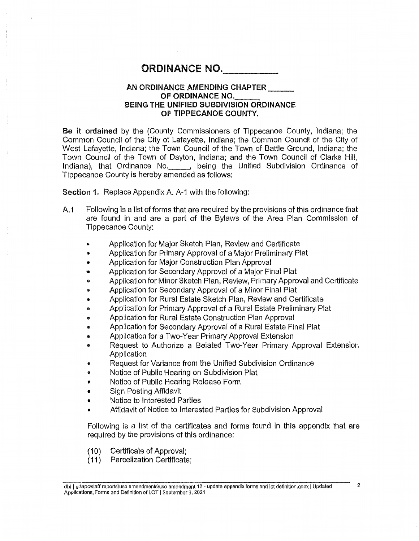# ORDINANCE NO.

### AN ORDINANCE AMENDING **CHAPTER**  OF ORDINANCE NO. BEING THE UNIFIED SUBDIVISION ORDINANCE OF TIPPECANOE **COUNTY.**

Be it **ordained** by the (County **Commissioners** of Tippecanoe **County, Indiana;** the **Common Council** of the **City** of **Lafayette,** Indiana; the Common **Council** of the **City** of West Lafayette, Indiana; the Town Council of the Town of Battle Ground, Indiana; the Town Council of the Town of **Dayton,** Indiana; and the Town **Council** of Clarks Hill, Indiana), **that** Ordinance No. **,** being the Unified Subdivision Ordinance of Tippecanoe County is hereby amended as follows: **OR**<br> **AN ORD**<br> **BEING TI**<br> **ordained** by the (Conception Council of the Cit<br>
Lafayette, Indiana; the Council of the Town<br>
a), that Ordinance<br>
canoe County is here **bon 1.** Replace Appene<br>
Following is a list of for<br>
are f

**Section** 1. Replace Appendix A. A—1 **with** the following:

- A.1 Following is a list of forms that are required by the provisions of this **ardinance that**  are found **In** and are a part of the Bylaws of the Area Plan **Commission** of
	- Application for Major Sketch. Plan. Review and Certificate
	- **Application** for Primary Approval of *a* Major **Preliminary** Plat  $\bullet$
	- **Application** for Major **Construction** Plan Approval ٠
	- Application for Secondary Approval of a Major Final Plat  $\bullet$
	- Application for Minor Sketch Plan, Review, Primary Approval and Certificate  $\bullet$
	- Application for Secondary Approval of *a* Minor Final Plat  $\bullet$
	- Application for Rural Estate Sketch Plan, Review and Certificate  $\pmb{\circ}$
	- **Application** for Primary Approval of a Rural Estate Preliminary Plat
	- Application for Rural Estate **Construction** Plan Approval
	- **Application** for Secondary Approval of a Rural Estate Final Plat  $\bullet$
	- Application for a Two~Year Primary Approval **Extension**   $\bullet$
	- Request to Authorize a Belated Two-Year Primary Approval Extension  $\bullet$ Application
	- Request for Variance from the Unified **Subdivision** Ordinance
	- Notice of Public Hearing on Subdivision Plat  $\bullet$
	- **Notice** of **Public** Hearing Release Form ۰
	- **Sign** Posting Affidavit
	- Notice to Interested **Parties**
	- Affidavit of Notice to **Interested** Parties for Subdivision Approval

Following is *a* list of the certificates and forms found in **this** appendix that are required by the provisions of this ordinance:

- (10) Certificate of Approval;
- (11) Parcelization Certificate;

dbl | g:\apc\staff reports\uso amendments\uso amendment 12 - update appendix forms and lot definition.docx | Updated <sup>2</sup> Applicatlons. Forms and Definition of LOT [September 9. 2021